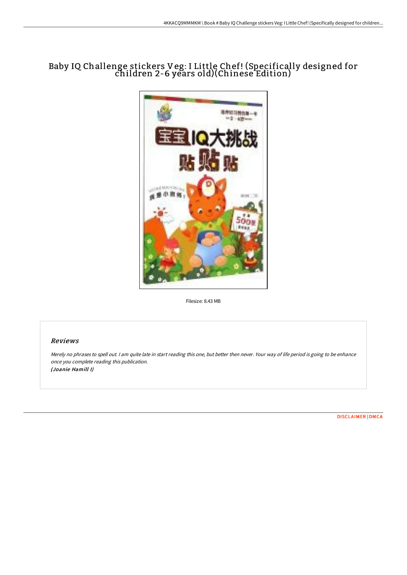# Baby IQ Challenge stickers Veg: I Little Chef! (Specifically designed for children 2-6 years old)(Chinese Edition)



Filesize: 8.43 MB

## Reviews

Merely no phrases to spell out. <sup>I</sup> am quite late in start reading this one, but better then never. Your way of life period is going to be enhance once you complete reading this publication. (Joanie Hamill I)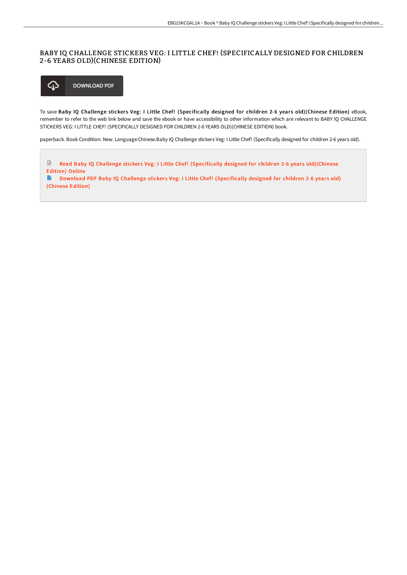## BABY IQ CHALLENGE STICKERS VEG: I LITTLE CHEF! (SPECIFICALLY DESIGNED FOR CHILDREN 2-6 YEARS OLD)(CHINESE EDITION)



To save Baby IQ Challenge stickers Veg: I Little Chef! (Specifically designed for children 2-6 years old)(Chinese Edition) eBook, remember to refer to the web link below and save the ebook or have accessibility to other information which are relevant to BABY IQ CHALLENGE STICKERS VEG: I LITTLE CHEF! (SPECIFICALLY DESIGNED FOR CHILDREN 2-6 YEARS OLD)(CHINESE EDITION) book.

paperback. Book Condition: New. Language:Chinese.Baby IQ Challenge stickers Veg: I Little Chef! (Specifically designed for children 2-6 years old).